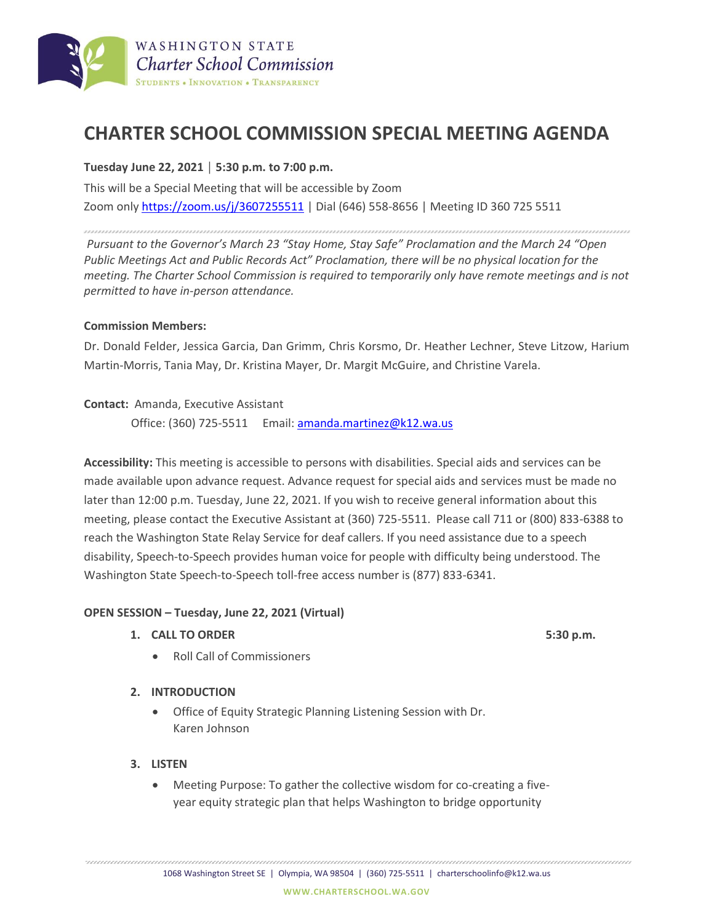

# **CHARTER SCHOOL COMMISSION SPECIAL MEETING AGENDA**

## **Tuesday June 22, 2021 │ 5:30 p.m. to 7:00 p.m.**

This will be a Special Meeting that will be accessible by Zoom Zoom onl[y https://zoom.us/j/3607255511](https://zoom.us/j/3607255511) | Dial (646) 558-8656 | Meeting ID 360 725 5511

*Pursuant to the Governor's March 23 "Stay Home, Stay Safe" Proclamation and the March 24 "Open Public Meetings Act and Public Records Act" Proclamation, there will be no physical location for the meeting. The Charter School Commission is required to temporarily only have remote meetings and is not permitted to have in-person attendance.*

### **Commission Members:**

Dr. Donald Felder, Jessica Garcia, Dan Grimm, Chris Korsmo, Dr. Heather Lechner, Steve Litzow, Harium Martin-Morris, Tania May, Dr. Kristina Mayer, Dr. Margit McGuire, and Christine Varela.

### **Contact:** Amanda, Executive Assistant

Office: (360) 725-5511 Email: amanda.martinez@k12.wa.us

**Accessibility:** This meeting is accessible to persons with disabilities. Special aids and services can be made available upon advance request. Advance request for special aids and services must be made no later than 12:00 p.m. Tuesday, June 22, 2021. If you wish to receive general information about this meeting, please contact the Executive Assistant at (360) 725-5511. Please call 711 or (800) 833-6388 to reach the Washington State Relay Service for deaf callers. If you need assistance due to a speech disability, Speech-to-Speech provides human voice for people with difficulty being understood. The Washington State Speech-to-Speech toll-free access number is (877) 833-6341.

### **OPEN SESSION – Tuesday, June 22, 2021 (Virtual)**

- **1. CALL TO ORDER 5:30 p.m.**
	- Roll Call of Commissioners

### **2. INTRODUCTION**

- Office of Equity Strategic Planning Listening Session with Dr. Karen Johnson
- **3. LISTEN**
	- Meeting Purpose: To gather the collective wisdom for co-creating a fiveyear equity strategic plan that helps Washington to bridge opportunity

1068 Washington Street SE | Olympia, WA 98504 | (360) 725-5511 | charterschoolinfo@k12.wa.us